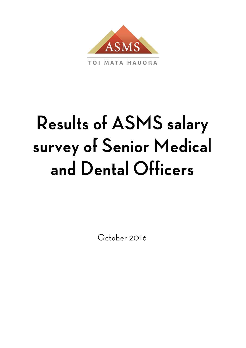

**TOI MATA HAUORA** 

# Results of ASMS salary survey of Senior Medical and Dental Officers

October 2016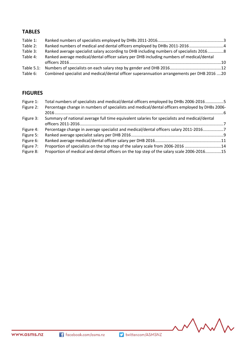# **TABLES**

| Table 1:      |                                                                                            |  |
|---------------|--------------------------------------------------------------------------------------------|--|
| Table 2:      |                                                                                            |  |
| Table 3:      | Ranked average specialist salary according to DHB including numbers of specialists 20168   |  |
| Table 4:      | Ranked average medical/dental officer salary per DHB including numbers of medical/dental   |  |
|               |                                                                                            |  |
| Table $5.1$ : |                                                                                            |  |
| Table 6:      | Combined specialist and medical/dental officer superannuation arrangements per DHB 2016 20 |  |

## **FIGURES**

| Figure 1: | Total numbers of specialists and medical/dental officers employed by DHBs 2006-20165           |  |
|-----------|------------------------------------------------------------------------------------------------|--|
| Figure 2: | Percentage change in numbers of specialists and medical/dental officers employed by DHBs 2006- |  |
| Figure 3: | Summary of national average full time equivalent salaries for specialists and medical/dental   |  |
| Figure 4: | Percentage change in average specialist and medical/dental officers salary 2011-2016           |  |
| Figure 5: |                                                                                                |  |
| Figure 6: |                                                                                                |  |
| Figure 7: | Proportion of specialists on the top step of the salary scale from 2006-2016 14                |  |
| Figure 8: | Proportion of medical and dental officers on the top step of the salary scale 2006-201615      |  |

mm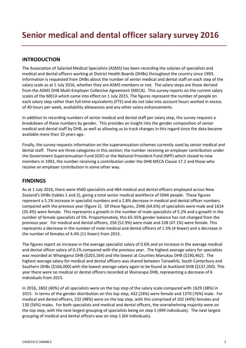## **INTRODUCTION**

The Association of Salaried Medical Specialists (ASMS) has been recording the salaries of specialists and medical and dental officers working at District Health Boards (DHBs) throughout the country since 1993. Information is requested from DHBs about the number of senior medical and dental staff on each step of the salary scale as at 1 July 2016, whether they are ASMS members or not. The salary steps are those derived from the ASMS DHB Multi-Employer Collective Agreement (MECA). This survey reports on the current salary scales of the MECA which came into effect on 1 July 2015. The figures represent the number of people on each salary step rather than full-time equivalents (FTE) and do not take into account hours worked in excess of 40 hours per week, availability allowances and any other salary enhancements.

In addition to recording numbers of senior medical and dental staff per salary step, the survey requests a breakdown of these numbers by gender. This provides an insight into the gender composition of senior medical and dental staff by DHB, as well as allowing us to track changes in this regard since the data became available more than 10 years ago.

Finally, the survey requests information on the superannuation schemes currently used by senior medical and dental staff. There are three categories in this section; the number receiving an employer contribution under the Government Superannuation Fund (GSF) or the National Provident Fund (NPF) which closed to new members in 1992, the number receiving a contribution under the DHB MECA Clause 17.2 and those who receive an employer contribution in some other way.

## **FINDINGS**

As at 1 July 2016, there were 4560 specialists and 484 medical and dental officers employed across New Zealand's DHBs (tables 1 and 2), giving a total senior medical workforce of 5044 people. These figures represent a 5.1% increase in specialist numbers and a 2.8% decrease in medical and dental officer numbers compared with the previous year (figure 2). Of these figures, 2946 (64.6%) of specialists were male and 1614 (35.4%) were female. This represents a growth in the number of male specialists of 5.2% and a growth in the number of female specialists of 5%. Proportionately, this 65:35% gender balance has not changed from the previous year. For medical and dental officers, 256 (52.9%) were male and 228 (47.1%) were female. This represents a decrease in the number of male medical and dental officers of 1.5% (4 fewer) and a decrease in the number of females of 4.4% (11 fewer) from 2015.

The figures report an increase in the average specialist salary of 0.6% and an increase in the average medical and dental officer salary of 0.1% compared with the previous year. The highest average salary for specialists was recorded at Whanganui DHB (\$203,164) and the lowest at Counties Manukau DHB (\$190,462). The highest average salary for medical and dental officers was shared between Tairawhiti, South Canterbury and Southern DHBs (\$166,000) with the lowest average salary again to be found at Auckland DHB (\$137,350). This year there were no medical or dental officers recorded at Wairarapa DHB, representing a decrease of 6 individuals from 2015.

In 2016, 1802 (40%) of all specialists were on the top step of the salary scale compared with 1629 (38%) in 2015. In terms of the gender distribution on this top step, 432 (24%) were female and 1370 (76%) male. For medical and dental officers, 232 (48%) were on the top step, with this comprised of 102 (44%) females and 130 (56%) males. For both specialists and medical and dental officers, the overwhelming majority were on the top step, with the next largest grouping of specialists being on step 5 (499 individuals). The next largest grouping of medical and dental officers was on step 1 (64 individuals).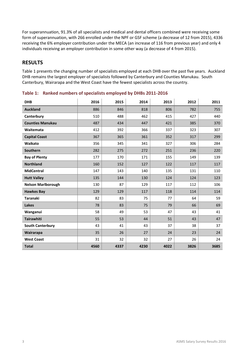For superannuation, 91.3% of all specialists and medical and dental officers combined were receiving some form of superannuation, with 266 enrolled under the NPF or GSF scheme (a decrease of 12 from 2015), 4336 receiving the 6% employer contribution under the MECA (an increase of 116 from previous year) and only 4 individuals receiving an employer contribution in some other way (a decrease of 4 from 2015).

### **RESULTS**

Table 1 presents the changing number of specialists employed at each DHB over the past five years. Auckland DHB remains the largest employer of specialists followed by Canterbury and Counties Manukau. South Canterbury, Wairarapa and the West Coast have the fewest specialists across the country.

| <b>DHB</b>                | 2016 | 2015 | 2014 | 2013 | 2012 | 2011 |
|---------------------------|------|------|------|------|------|------|
| <b>Auckland</b>           | 886  | 846  | 818  | 806  | 782  | 755  |
| Canterbury                | 510  | 488  | 462  | 415  | 427  | 440  |
| <b>Counties Manukau</b>   | 487  | 434  | 447  | 421  | 385  | 370  |
| Waitemata                 | 412  | 392  | 366  | 337  | 323  | 307  |
| <b>Capital Coast</b>      | 367  | 365  | 361  | 352  | 317  | 299  |
| Waikato                   | 356  | 345  | 341  | 327  | 306  | 284  |
| Southern                  | 282  | 275  | 272  | 251  | 236  | 220  |
| <b>Bay of Plenty</b>      | 177  | 170  | 171  | 155  | 149  | 139  |
| <b>Northland</b>          | 160  | 152  | 127  | 122  | 117  | 117  |
| <b>MidCentral</b>         | 147  | 143  | 140  | 135  | 131  | 110  |
| <b>Hutt Valley</b>        | 135  | 144  | 130  | 124  | 124  | 123  |
| <b>Nelson Marlborough</b> | 130  | 87   | 129  | 117  | 112  | 106  |
| <b>Hawkes Bay</b>         | 129  | 129  | 117  | 118  | 114  | 114  |
| <b>Taranaki</b>           | 82   | 83   | 75   | 77   | 64   | 59   |
| <b>Lakes</b>              | 78   | 83   | 75   | 79   | 66   | 69   |
| Wanganui                  | 58   | 49   | 53   | 47   | 43   | 41   |
| <b>Tairawhiti</b>         | 55   | 53   | 44   | 51   | 43   | 47   |
| <b>South Canterbury</b>   | 43   | 41   | 43   | 37   | 38   | 37   |
| Wairarapa                 | 35   | 26   | 27   | 24   | 23   | 24   |
| <b>West Coast</b>         | 31   | 32   | 32   | 27   | 26   | 24   |
| <b>Total</b>              | 4560 | 4337 | 4230 | 4022 | 3826 | 3685 |

**Table 1: Ranked numbers of specialists employed by DHBs 2011-2016**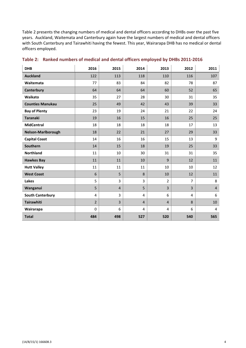Table 2 presents the changing numbers of medical and dental officers according to DHBs over the past five years. Auckland, Waitemata and Canterbury again have the largest numbers of medical and dental officers with South Canterbury and Tairawhiti having the fewest. This year, Wairarapa DHB has no medical or dental officers employed.

| <b>DHB</b>                | 2016           | 2015           | 2014           | 2013           | 2012           | 2011           |
|---------------------------|----------------|----------------|----------------|----------------|----------------|----------------|
| <b>Auckland</b>           | 122            | 113            | 118            | 110            | 116            | 107            |
| Waitemata                 | 77             | 83             | 84             | 82             | 78             | 87             |
| Canterbury                | 64             | 64             | 64             | 60             | 52             | 65             |
| Waikato                   | 35             | 27             | 28             | 30             | 31             | 35             |
| <b>Counties Manukau</b>   | 25             | 49             | 42             | 43             | 39             | 33             |
| <b>Bay of Plenty</b>      | 23             | 19             | 24             | 21             | 22             | 24             |
| <b>Taranaki</b>           | 19             | 16             | 15             | 16             | 25             | 25             |
| <b>MidCentral</b>         | 18             | 18             | 18             | 18             | 17             | 13             |
| <b>Nelson-Marlborough</b> | 18             | 22             | 21             | 27             | 29             | 33             |
| <b>Capital Coast</b>      | 14             | 16             | 16             | 15             | 13             | 9              |
| Southern                  | 14             | 15             | 18             | 19             | 25             | 33             |
| <b>Northland</b>          | 11             | 10             | 30             | 31             | 31             | 35             |
| <b>Hawkes Bay</b>         | 11             | 11             | 10             | 9              | 12             | 11             |
| <b>Hutt Valley</b>        | 11             | 11             | 11             | 10             | 10             | 12             |
| <b>West Coast</b>         | 6              | 5              | 8              | 10             | 12             | 11             |
| Lakes                     | 5              | 3              | 3              | $\overline{2}$ | $\overline{7}$ | 8              |
| Wanganui                  | 5              | $\overline{4}$ | 5              | 3              | 3              | $\overline{4}$ |
| <b>South Canterbury</b>   | 4              | 3              | 4              | 6              | 4              | 6              |
| <b>Tairawhiti</b>         | $\overline{2}$ | $\overline{3}$ | $\overline{4}$ | $\overline{4}$ | 8              | 10             |
| Wairarapa                 | $\Omega$       | 6              | 4              | $\overline{4}$ | 6              | 4              |
| <b>Total</b>              | 484            | 498            | 527            | 520            | 540            | 565            |

#### **Table 2: Ranked numbers of medical and dental officers employed by DHBs 2011-2016**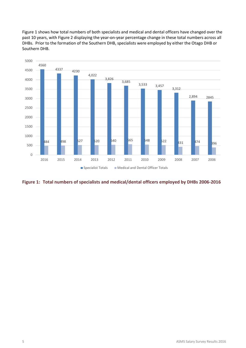Figure 1 shows how total numbers of both specialists and medical and dental officers have changed over the past 10 years, with Figure 2 displaying the year-on-year percentage change in these total numbers across all DHBs. Prior to the formation of the Southern DHB, specialists were employed by either the Otago DHB or Southern DHB.



**Figure 1: Total numbers of specialists and medical/dental officers employed by DHBs 2006-2016**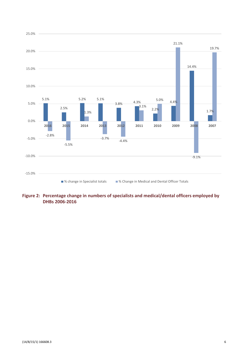

#### **Figure 2: Percentage change in numbers of specialists and medical/dental officers employed by DHBs 2006-2016**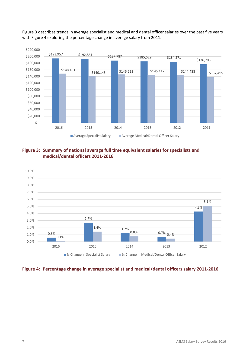

Figure 3 describes trends in average specialist and medical and dental officer salaries over the past five years with Figure 4 exploring the percentage change in average salary from 2011.





#### **Figure 4: Percentage change in average specialist and medical/dental officers salary 2011-2016**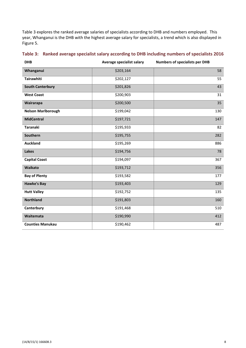Table 3 explores the ranked average salaries of specialists according to DHB and numbers employed. This year, Whanganui is the DHB with the highest average salary for specialists, a trend which is also displayed in Figure 5.

| <b>DHB</b>                | Average specialist salary | <b>Numbers of specialists per DHB</b> |
|---------------------------|---------------------------|---------------------------------------|
| Whanganui                 | \$203,164                 | 58                                    |
| <b>Tairawhiti</b>         | \$202,127                 | 55                                    |
| <b>South Canterbury</b>   | \$201,826                 | 43                                    |
| <b>West Coast</b>         | \$200,903                 | 31                                    |
| Wairarapa                 | \$200,500                 | 35                                    |
| <b>Nelson Marlborough</b> | \$199,042                 | 130                                   |
| <b>MidCentral</b>         | \$197,721                 | 147                                   |
| <b>Taranaki</b>           | \$195,933                 | 82                                    |
| Southern                  | \$195,755                 | 282                                   |
| <b>Auckland</b>           | \$195,269                 | 886                                   |
| <b>Lakes</b>              | \$194,756                 | 78                                    |
| <b>Capital Coast</b>      | \$194,097                 | 367                                   |
| Waikato                   | \$193,712                 | 356                                   |
| <b>Bay of Plenty</b>      | \$193,582                 | 177                                   |
| <b>Hawke's Bay</b>        | \$193,403                 | 129                                   |
| <b>Hutt Valley</b>        | \$192,752                 | 135                                   |
| <b>Northland</b>          | \$191,803                 | 160                                   |
| Canterbury                | \$191,468                 | 510                                   |
| Waitemata                 | \$190,990                 | 412                                   |
| <b>Counties Manukau</b>   | \$190,462                 | 487                                   |

# **Table 3: Ranked average specialist salary according to DHB including numbers of specialists 2016**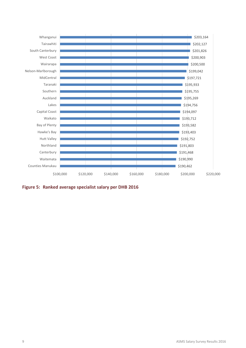

**Figure 5: Ranked average specialist salary per DHB 2016**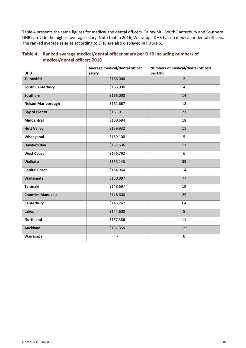Table 4 presents the same figures for medical and dental officers. Tairawhiti, South Canterbury and Southern DHBs provide the highest average salary. Note that in 2016, Wairarapa DHB has no medical or dental officers. The ranked average salaries according to DHB are also displayed in Figure 6.

| <b>DHB</b>                | Average medical/dental officer<br>salary | Numbers of medical/dental officers<br>per DHB |
|---------------------------|------------------------------------------|-----------------------------------------------|
|                           |                                          |                                               |
| <b>Tairawhiti</b>         | \$166,000                                | $\overline{2}$                                |
| <b>South Canterbury</b>   | \$166,000                                | $\overline{\mathbf{4}}$                       |
| Southern                  | \$166,000                                | 14                                            |
| <b>Nelson Marlborough</b> | \$161,667                                | 18                                            |
| <b>Bay of Plenty</b>      | \$161,011                                | 23                                            |
| <b>MidCentral</b>         | \$160,694                                | 18                                            |
| <b>Hutt Valley</b>        | \$159,932                                | 11                                            |
| Whanganui                 | \$159,100                                | 5                                             |
| <b>Hawke's Bay</b>        | \$157,636                                | 11                                            |
| <b>West Coast</b>         | \$156,792                                | 6                                             |
| Waikato                   | \$155,143                                | 35                                            |
| <b>Capital Coast</b>      | \$154,964                                | 14                                            |
| Waitemata                 | \$150,097                                | 77                                            |
| <b>Taranaki</b>           | \$148,697                                | 19                                            |
| <b>Counties Manukau</b>   | \$148,600                                | 25                                            |
| Canterbury                | \$145,262                                | 64                                            |
| <b>Lakes</b>              | \$144,600                                | 5                                             |
| <b>Northland</b>          | \$137,386                                | 11                                            |
| <b>Auckland</b>           | \$137,350                                | 122                                           |
| Wairarapa                 |                                          | 0                                             |

#### **Table 4: Ranked average medical/dental officer salary per DHB including numbers of medical/dental officers 2016**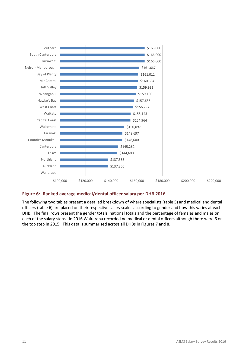

#### **Figure 6: Ranked average medical/dental officer salary per DHB 2016**

The following two tables present a detailed breakdown of where specialists (table 5) and medical and dental officers (table 6) are placed on their respective salary scales according to gender and how this varies at each DHB. The final rows present the gender totals, national totals and the percentage of females and males on each of the salary steps. In 2016 Wairarapa recorded no medical or dental officers although there were 6 on the top step in 2015. This data is summarised across all DHBs in Figures 7 and 8.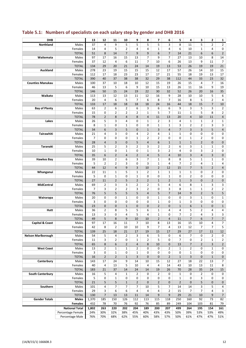| <b>DHB</b>                 |                                      | 13             | 12                  | 11             | 10             | 9                    | 8                       | 7                            | 6              | 5                 | 4              | 3                              | $\mathbf{2}$                     | $\mathbf{1}$         |
|----------------------------|--------------------------------------|----------------|---------------------|----------------|----------------|----------------------|-------------------------|------------------------------|----------------|-------------------|----------------|--------------------------------|----------------------------------|----------------------|
| <b>Northland</b>           | Males                                | 37             | 4                   | 9              | 5              | 5                    | 5                       | 5                            | 3              | 8                 | 11             | 5                              | $\overline{2}$                   | $\overline{2}$       |
|                            | Females                              | 14             | 4                   | 5              | $\overline{2}$ | 4                    | 4                       | $\mathbf{1}$                 | 4              | 6                 | 10             | $\mathbf{1}$                   | 4                                | 0                    |
|                            | <b>TOTAL</b>                         | 51             | 8                   | 14             | $\overline{7}$ | 9                    | 9                       | 6                            | $\overline{7}$ | 14                | 21             | 6                              | 6                                | $\overline{2}$       |
| Waitemata                  | Males                                | 97             | 17                  | 16             | 15             | 13                   | 7                       | 9                            | $\overline{7}$ | 27                | 13             | 10                             | 8                                | 14                   |
|                            | Females                              | 37             | 12                  | 4              | 6              | 11                   | 7                       | 10                           | 6              | 26                | 13             | 9                              | 11                               | $\overline{7}$       |
|                            | <b>TOTAL</b>                         | 134            | 29                  | 20             | 21             | 24                   | 14                      | 19                           | 13             | 53                | 26             | 19                             | 19                               | 21                   |
| Auckland                   | Males                                | 278            | 23                  | 19             | 15             | 15                   | 15                      | 12                           | 17             | 57                | 26             | 14                             | 10                               | 15                   |
|                            | Females                              | 112            | 17                  | 18             | 23             | 23                   | 17                      | 17                           | 21             | 55                | 18             | 19                             | 13                               | 17                   |
|                            | <b>TOTAL</b>                         | 390            | 40                  | 37             | 38             | 38                   | 32                      | 29                           | 38             | 112               | 44             | 33                             | 23                               | 32                   |
| <b>Counties Manukau</b>    | Males                                | 100            | 37                  | 10             | 18             | 10                   | 12                      | 15                           | 19             | 26                | 15             | $\overline{4}$                 | $\overline{7}$                   | 16                   |
|                            | Females                              | 46             | 13                  | 5              | 6              | 9                    | 10                      | 15                           | 13             | 26                | 11             | 16                             | 9                                | 19                   |
|                            | <b>TOTAL</b>                         | 146            | 50                  | 15             | 24             | 19                   | 22                      | 30                           | 32             | 52                | 26             | 20                             | 16                               | 35                   |
| Waikato                    | Males                                | 113            | 13                  | 12             | 13             | 11                   | 12                      | 16                           | 9              | 28                | 10             | 10                             | 5                                | 6                    |
|                            | Females<br><b>TOTAL</b>              | 20<br>133      | 4<br>17             | 6<br>18        | 5<br>18        | $\overline{7}$<br>18 | 6<br>18                 | 8<br>24                      | 7<br>16        | 16<br>44          | 8<br>18        | 5<br>15                        | $\overline{2}$<br>$\overline{7}$ | 4                    |
| <b>Bay of Plenty</b>       | Males                                | 63             | $\overline{2}$      | 6              | 2              | 6                    | 3                       | 6                            | 6              | 9                 | 3              | 5                              | 3                                | 10<br>$\overline{2}$ |
|                            | Females                              | 15             | 0                   | $\overline{2}$ | $\overline{2}$ | 2                    | $\mathbf 1$             | 5                            | 7              | 11                | $\mathbf{1}$   | 5                              | 8                                | $\overline{2}$       |
|                            | <b>TOTAL</b>                         | 78             | $\overline{2}$      | 8              | 4              | 8                    | $\overline{4}$          | 11                           | 13             | 20                | $\overline{4}$ | 10                             | 11                               | $\overline{4}$       |
| Lakes                      | Males                                | 26             | 5                   | 3              | 4              | 0                    | $\mathbf 1$             | $\overline{2}$               | 3              | 4                 | $\mathbf{1}$   | $\mathbf{1}$                   | $\overline{2}$                   | $\mathbf{1}$         |
|                            | Females                              | 8              | $\mathbf{1}$        | 0              | 1              | 0                    | 0                       | $\mathbf{1}$                 | $\mathbf{1}$   | 3                 | $\overline{2}$ | $\overline{2}$                 | 3                                | 3                    |
|                            | <b>TOTAL</b>                         | 34             | 6                   | 3              | 5              | $\mathbf{0}$         | $1\,$                   | 3                            | $\overline{4}$ | $\overline{7}$    | $\overline{3}$ | $\overline{3}$                 | 5                                | $\overline{4}$       |
| Tairawhiti                 | Males                                | 21             | 4                   | 3              | 0              | 4                    | $\overline{2}$          | 4                            | $\mathbf{1}$   | $\mathbf{1}$      | 0              | 0                              | 0                                | 0                    |
|                            | Females                              | 7              | 0                   | 0              | 0              | $\mathbf 1$          | $\overline{2}$          | $\overline{2}$               | 0              | 0                 | $\mathbf{1}$   | $\overline{2}$                 | 0                                | 0                    |
|                            | <b>TOTAL</b>                         | 28             | $\overline{4}$      | 3              | 0              | 5                    | $\overline{\mathbf{4}}$ | 6                            | $1\,$          | $\mathbf{1}$      | $\mathbf{1}$   | $\overline{2}$                 | $\pmb{0}$                        | $\pmb{0}$            |
| <b>Taranaki</b>            | Males                                | 25             | 5                   | $\overline{2}$ | 3              | $\overline{2}$       | 3                       | $\overline{2}$               | $\overline{2}$ | 6                 | 3              | $\mathbf 1$                    | $\mathbf{1}$                     | 0                    |
|                            | Females                              | 10             | $\mathbf{1}$        | 0              | $\mathbf 1$    | 0                    | 1                       | 3                            | $\overline{2}$ | 4                 | 0              | 3                              | $\overline{2}$                   | 0                    |
|                            | <b>TOTAL</b>                         | 35             | 6                   | $\overline{2}$ | 4              | $\overline{2}$       | 4                       | 5                            | $\overline{4}$ | 10                | 3              | $\overline{4}$                 | 3                                | 0                    |
| <b>Hawkes Bay</b>          | Males                                | 39             | 10                  | $\overline{2}$ | 6              | 3                    | $\overline{7}$          | $\mathbf{1}$                 | 8              | 8                 | 5              | $\mathbf{1}$                   | $\mathbf{1}$                     | 0                    |
|                            | Females                              | 5              | $\overline{2}$      | $\overline{2}$ | 3              | 0                    | 3                       | $\mathbf{1}$                 | 4              | 7                 | $\overline{2}$ | 4                              | $\mathbf{1}$                     | 4                    |
|                            | <b>TOTAL</b>                         | 44             | 12                  | $\overline{4}$ | 9              | 3                    | 10                      | $\overline{2}$               | 12             | 15                | $\overline{7}$ | 5                              | $\overline{2}$                   | $\overline{4}$       |
| Whanganui                  | Males                                | 22             | 11                  | $\mathbf{1}$   | 5              | $\mathbf 1$          | $\overline{2}$          | $\mathbf{1}$                 | $\mathbf 1$    | $\mathbf 1$       | $\mathbf{1}$   | 0                              | $\overline{2}$                   | 0                    |
|                            | Females                              | 5              | $\mathbf 0$         | $\mathbf 1$    | 0              | $\mathbf 1$          | 0                       | 0                            | $\mathbf 1$    | 0                 | $\overline{2}$ | 0                              | 0                                | $\mathbf 0$          |
|                            | <b>TOTAL</b>                         | 27             | 11                  | $\overline{2}$ | 5              | $\overline{2}$       | $\overline{2}$          | $\mathbf{1}$                 | $\overline{2}$ | $\mathbf{1}$      | 3              | 0                              | $\overline{2}$                   | $\mathbf 0$          |
| MidCentral                 | Males                                | 69             | $\overline{2}$      | 3              | 3              | 2                    | $\overline{2}$          | 5                            | 4              | 6                 | 8              | $\mathbf{1}$                   | 3                                | 3                    |
|                            | Females                              | $\overline{7}$ | 3                   | $\overline{2}$ | $\overline{2}$ | 3                    | $\overline{2}$          | 0                            | 3              | 8                 | $\mathbf{1}$   | $\mathbf{1}$                   | $\overline{2}$                   | $\overline{2}$       |
|                            | <b>TOTAL</b>                         | 76             | 5                   | 5              | 5              | 5                    | $\overline{\mathbf{4}}$ | 5                            | $\overline{7}$ | 14                | 9              | $\overline{2}$                 | 5                                | 5                    |
| Wairarapa                  | Males                                | 20             | 0                   | 0              | $\mathbf{1}$   | 0                    | 0                       | $\mathbf 1$                  | 0              | 0                 | 3              | $\mathbf{1}$                   | 0                                | $\mathbf{1}$         |
|                            | Females                              | 3              | 0                   | 0              | 0              | 0                    | 0                       | $\mathbf{1}$                 | 0              | 1                 | 3              | 0                              | 0                                | 0                    |
|                            | <b>TOTAL</b>                         | 23             | $\mathbf 0$         | $\mathbf 0$    | $\mathbf 1$    | 0                    | 0                       | $\overline{2}$               | 0<br>4         | $\mathbf{1}$<br>4 | 6              | $\mathbf{1}$<br>$\overline{2}$ | $\mathbf{0}$<br>4                | $\mathbf{1}$         |
| Hutt                       | Males<br>Females                     | 36<br>13       | $\overline{2}$<br>3 | 8<br>0         | 5<br>4         | 5<br>5               | 6<br>4                  | $\mathbf{1}$<br>$\mathbf{1}$ | 0              | $\overline{7}$    | 5<br>2         | 4                              | 3                                | 4<br>3               |
|                            | <b>TOTAL</b>                         | 49             | 5                   | 8              | 9              | 10                   | 10                      | $\overline{2}$               | $\overline{4}$ | 11                | $\overline{7}$ | 6                              | $\overline{7}$                   | $\overline{7}$       |
| <b>Capital &amp; Coast</b> | Males                                | 97             | 17                  | 16             | 11             | 7                    | 10                      | 8                            | 13             | 16                | 15             | $10\,$                         | 4                                | $\overline{7}$       |
|                            | Females                              | 42             | 8                   | $\overline{2}$ | 10             | 10                   | 9                       | $\overline{7}$               | 4              | 13                | 12             | $\overline{7}$                 | $\overline{7}$                   | 5                    |
|                            | <b>TOTAL</b>                         | 139            | 25                  | 18             | 21             | 17                   | 19                      | 15                           | 17             | 29                | 27             | 17                             | $11\,$                           | 12                   |
| <b>Nelson Marlborough</b>  | Males                                | 54             | 5                   | 4              | $\overline{2}$ | 3                    | 6                       | 5                            | 0              | 6                 | $\overline{7}$ | 0                              | $\overline{2}$                   | 0                    |
|                            | Females                              | 11             | 3                   | $\overline{2}$ | 0              | $\mathbf{1}$         | $\overline{2}$          | 5                            | 0              | $\overline{7}$    | 0              | $\overline{2}$                 | $\mathbf{1}$                     | $\overline{2}$       |
|                            | <b>TOTAL</b>                         | 65             | 8                   | 6              | $\overline{2}$ | 4                    | 8                       | 10                           | 0              | 13                | $\overline{7}$ | $\overline{2}$                 | 3                                | $\overline{2}$       |
| <b>West Coast</b>          | Males                                | 13             | $\overline{2}$      | $\mathbf 1$    | $\mathbf{1}$   | $\overline{2}$       | 0                       | 0                            | $\overline{2}$ | $\mathbf 1$       | $\overline{2}$ | 0                              | $\mathbf{1}$                     | 0                    |
|                            | Females                              | 3              | 0                   | $\mathbf{1}$   | 0              | $\mathbf 1$          | 0                       | 0                            | 0              | 0                 | 1              | 0                              | 0                                | 0                    |
|                            | <b>TOTAL</b>                         | 16             | $\overline{2}$      | $\overline{2}$ | $\mathbf{1}$   | 3                    | 0                       | $\pmb{0}$                    | $\overline{2}$ | $\mathbf{1}$      | 3              | 0                              | $\mathbf{1}$                     | $\mathbf 0$          |
| Canterbury                 | Males                                | 143            | 17                  | 24             | 9              | 14                   | 10                      | 15                           | 12             | 27                | 18             | 22                             | 13                               | $\overline{7}$       |
|                            | Females                              | 40             | 4                   | 13             | 5              | 10                   | 4                       | 4                            | 14             | 43                | 10             | 13                             | 11                               | 8                    |
|                            | <b>TOTAL</b>                         | 183            | 21                  | 37             | 14             | 24                   | 14                      | 19                           | 26             | 70                | 28             | 35                             | 24                               | 15                   |
| <b>South Canterbury</b>    | Males                                | 16             | 5                   | 4              | $\mathbf{1}$   | 2                    | 0                       | $\overline{2}$               | 0              | $\mathbf{1}$      | 0              | $\overline{2}$                 | 0                                | 0                    |
|                            | Females                              | 5              | 0                   | $\mathbf{1}$   | 0              | 0                    | 0                       | 0                            | 0              | $\mathbf{1}$      | 0              | 3                              | 0                                | 0                    |
|                            | <b>TOTAL</b>                         | 21             | 5                   | 5              | $\mathbf{1}$   | $\overline{2}$       | $\pmb{0}$               | $\overline{2}$               | 0              | $\overline{2}$    | 0              | 5                              | $\mathbf 0$                      | $\mathbf 0$          |
| Southern                   | Males                                | 101            | 4                   | $\overline{7}$ | 7              | 7                    | 10                      | 5                            | 7              | 14                | 14             | 3                              | 5                                | 4                    |
|                            | Females<br><b>TOTAL</b>              | 29             | 3<br>$\overline{7}$ | 6<br>13        | 6<br>13        | 4                    | 4                       | 4                            | $\overline{2}$ | 15<br>29          | 7<br>21        | $\overline{7}$<br>10           | 4                                | 3                    |
|                            | <b>Males</b>                         | 130            | 185                 | 150            | 126            | 11<br>112            | 14<br>113               | 9<br>115                     | 9<br>118       | 250               | 160            | 92                             | 9<br>73                          | $\overline{7}$       |
| <b>Gender Totals</b>       | <b>Females</b>                       | 1,370<br>432   | 78                  | 70             | 76             | 92                   | 76                      | 85                           | 89             | 249               | 104            | 103                            | 81                               | 82<br>79             |
|                            | <b>National Total</b>                | 1,802          | 263                 | 220            | 202            | 204                  | 189                     | 200                          | 207            | 499               | 264            | 195                            | 154                              | 161                  |
|                            |                                      |                | 30%                 | 32%            | 38%            | 45%                  | 40%                     | 43%                          | 43%            | 50%               | 39%            | 53%                            | 53%                              | 49%                  |
|                            | Percentage Female<br>Percentage Male | 24%<br>76%     | 70%                 | 68%            | 62%            | 55%                  | 60%                     | 58%                          | 57%            | 50%               | 61%            | 47%                            | 47%                              | 51%                  |
|                            |                                      |                |                     |                |                |                      |                         |                              |                |                   |                |                                |                                  |                      |

# **Table 5.1: Numbers of specialists on each salary step by gender and DHB 2016**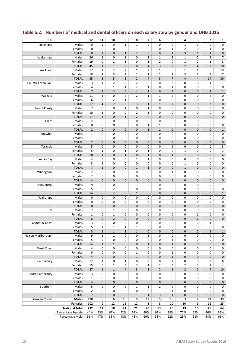| <b>DHB</b>              |                                         | 12                               | 11                | 10                  | 9                             | 8                             | $\overline{ }$          | 6                | 5                          | 4                 | 3                   | $\mathbf{2}$                | $\mathbf{1}$        |
|-------------------------|-----------------------------------------|----------------------------------|-------------------|---------------------|-------------------------------|-------------------------------|-------------------------|------------------|----------------------------|-------------------|---------------------|-----------------------------|---------------------|
| Northland               | Males                                   | 0                                | $\overline{2}$    | 0                   | $\mathbf{1}$                  | $\mathbf{1}$                  | 0                       | 0                | 0                          | $\mathbf{1}$      | $\mathbf{1}$        | 0                           | $\mathsf 0$         |
|                         | Females                                 | 0                                | $\mathbf 0$       | 0                   | 0                             | $\mathbf 1$                   | 0                       | 0                | $\mathbf 1$                | $\overline{2}$    | 0                   | $\mathbf 1$                 | 0                   |
|                         | <b>TOTAL</b>                            | $\mathbf 0$                      | $\overline{2}$    | $\mathbf 0$         | $\mathbf{1}$                  | $\overline{2}$                | $\mathbf{0}$            | $\pmb{0}$        | $\mathbf{1}$               | 3                 | $\mathbf{1}$        | $\mathbf{1}$                | $\mathsf{O}\xspace$ |
| Waitemata               | Males                                   | 26                               | $\mathbf{1}$      | 0                   | $\mathbf{1}$                  | 0                             | 3                       | 1                | $\overline{2}$             | $\mathbf{1}$      | 2                   | $\overline{2}$              | $\overline{7}$      |
|                         | Females                                 | 19                               | 0                 | $\mathbf 1$         | $\mathbf 1$                   | 0                             | $\mathbf 1$             | $\overline{2}$   | 0                          | $\mathbf{1}$      | $\overline{2}$      | $\mathbf{1}$                | 3                   |
|                         | <b>TOTAL</b>                            | 45                               | $\mathbf{1}$      | $\mathbf 1$         | $\overline{2}$                | 0                             | $\overline{\mathbf{4}}$ | 3                | $\overline{2}$             | $\overline{2}$    | 4                   | 3                           | 10                  |
| Auckland                | Males                                   | 17                               | $\mathbf 1$       | $\overline{2}$      | $\overline{2}$                | $\mathbf 1$                   | $\overline{2}$          | $\mathbf 1$      | 5                          | $\mathbf 1$       | $\mathbf 1$         | 6                           | 19                  |
|                         | Females                                 | 18                               | $\overline{2}$    | 3                   | 3                             | $\mathbf 1$                   | $\overline{2}$          | $\overline{2}$   | $\overline{2}$             | 3                 | 3                   | 8                           | 17                  |
|                         | <b>TOTAL</b>                            | 35                               | 3                 | 5                   | 5                             | $\overline{2}$                | $\overline{4}$          | 3                | $\overline{7}$             | $\overline{4}$    | $\overline{4}$      | 14                          | 36                  |
| <b>Counties Manukau</b> | Males                                   | 3                                | $\mathbf{1}$      | $\overline{2}$      | $\overline{2}$                | $\overline{2}$                | 0                       | 0                | 3                          | 0                 | 0                   | $\mathbf{1}$                | $\mathbf{1}$        |
|                         | Females                                 | 4                                | 0                 | $\mathbf{1}$        | $\mathbf{1}$                  | $\overline{2}$                | $\mathbf{1}$            | 0                | $\mathbf{1}$               | 0                 | 0                   | 0                           | 0                   |
|                         | <b>TOTAL</b>                            | $\overline{7}$                   | $\mathbf 1$       | 3                   | 3                             | $\overline{\mathbf{4}}$       | $1\,$                   | 0                | $\overline{4}$             | 0                 | 0                   | $\mathbf{1}$                | $\mathbf 1$         |
| Waikato                 | Males<br>Females                        | 11<br>6                          | $\mathbf{1}$<br>3 | 0<br>$\overline{2}$ | $\overline{2}$<br>$\mathbf 1$ | $\overline{2}$<br>$\mathbf 1$ | $\mathbf 1$<br>0        | $\mathbf 1$<br>0 | $\overline{2}$<br>0        | 0<br>0            | 0<br>0              | $\overline{2}$<br>0         | $\pmb{0}$<br>0      |
|                         | <b>TOTAL</b>                            | 17                               | $\overline{4}$    | $\overline{2}$      | 3                             | 3                             | $1\,$                   | $\mathbf 1$      | $\overline{2}$             | $\mathbf 0$       | 0                   | $\overline{2}$              | $\pmb{0}$           |
| Bay of Plenty           | Males                                   | $\overline{7}$                   | $\mathbf 0$       | 0                   | $\mathbf{1}$                  | 0                             | $\mathbf 1$             | 0                | $\mathbf 0$                | 0                 | 0                   | $\mathbf 0$                 | $\pmb{0}$           |
|                         | Females                                 | 10                               | $\mathbf{1}$      | 0                   | 0                             | $\overline{2}$                | $\mathbf 1$             | 0                | 0                          | 0                 | 0                   | 0                           | 0                   |
|                         | <b>TOTAL</b>                            | 17                               | $1\,$             | $\mathbf 0$         | $\mathbf{1}$                  | $\overline{2}$                | $\overline{2}$          | 0                | $\mathbf 0$                | $\mathbf 0$       | 0                   | $\mathbf 0$                 | 0                   |
| Lakes                   | Males                                   | $\overline{2}$                   | 0                 | 0                   | 0                             | 0                             | 0                       | 0                | 0                          | 0                 | 0                   | $\mathbf 0$                 | $\mathbf 1$         |
|                         | Females                                 | 0                                | 0                 | 0                   | 0                             | 0                             | $\mathbf 1$             | $\mathbf 1$      | 0                          | 0                 | 0                   | $\mathbf 0$                 | 0                   |
|                         | <b>TOTAL</b>                            | $\overline{2}$                   | $\mathbf 0$       | $\mathbf 0$         | $\pmb{0}$                     | 0                             | $1\,$                   | $1\,$            | $\mathbf 0$                | $\mathbf 0$       | 0                   | $\mathbf 0$                 | $1\,$               |
| Tairawhiti              | Males                                   | $\mathbf 1$                      | $\mathbf 0$       | $\mathbf 0$         | 0                             | 0                             | 0                       | 0                | $\mathbf 0$                | 0                 | 0                   | $\mathbf 0$                 | $\pmb{0}$           |
|                         | Females                                 | $\mathbf{1}$                     | $\mathbf 0$       | 0                   | 0                             | 0                             | 0                       | 0                | $\mathbf 0$                | 0                 | 0                   | $\mathbf 0$                 | 0                   |
|                         | <b>TOTAL</b>                            | $\overline{2}$                   | $\mathbf{0}$      | $\mathbf 0$         | $\mathbf 0$                   | 0                             | 0                       | $\mathbf 0$      | $\mathbf 0$                | $\mathbf 0$       | $\mathbf{0}$        | $\mathbf 0$                 | $\pmb{0}$           |
| Taranaki                | Males                                   | 5                                | 0                 | 0                   | 0                             | 0                             | 0                       | 0                | $\mathbf{1}$               | 0                 | 0                   | $\mathbf 0$                 | 3                   |
|                         | Females                                 | 5                                | $\mathbf{1}$      | 0                   | $\mathbf 1$                   | 0                             | $\mathbf 1$             | 0                | 0                          | $\mathbf 1$       | 0                   | 0                           | $\mathbf 1$         |
|                         | <b>TOTAL</b>                            | 10                               | $\mathbf{1}$      | $\mathbf 0$         | $\mathbf 1$                   | 0                             | $1\,$                   | $\mathbf 0$      | $\mathbf{1}$               | $\mathbf 1$       | 0                   | $\mathbf 0$                 | 4                   |
| Hawkes Bay              | Males                                   | $\overline{4}$                   | $\mathbf 0$       | 0                   | 0                             | $\mathbf 1$                   | $\mathbf 1$             | 0                | 0                          | 0                 | 0                   | $\mathbf 0$                 | 0                   |
|                         | Females                                 | 3                                | $\mathbf{1}$      | 0                   | 0                             | 0                             | 0                       | 0                | 0                          | $\mathbf 1$       | 0                   | $\mathbf 0$                 | 0                   |
|                         | <b>TOTAL</b><br>Males                   | $\overline{7}$<br>$\overline{2}$ | $\mathbf{1}$<br>0 | $\mathbf 0$<br>0    | $\pmb{0}$<br>0                | $\mathbf{1}$<br>0             | $1\,$<br>0              | $\mathbf 0$<br>0 | $\mathbf 0$<br>$\mathbf 1$ | $\mathbf{1}$<br>0 | 0<br>0              | $\mathbf 0$<br>$\mathbf 0$  | $\pmb{0}$<br>0      |
| Whanganui               | Females                                 | 2                                | 0                 | 0                   | 0                             | 0                             | 0                       | 0                | 0                          | 0                 | 0                   | 0                           | 0                   |
|                         | <b>TOTAL</b>                            | $\overline{4}$                   | $\mathbf 0$       | $\mathbf 0$         | $\mathbf 0$                   | 0                             | 0                       | 0                | $\mathbf{1}$               | $\mathbf 0$       | 0                   | $\mathbf 0$                 | $\pmb{0}$           |
| MidCentral              | Males                                   | 9                                | 0                 | 0                   | 0                             | $\mathbf 1$                   | 0                       | 0                | 0                          | 0                 | 0                   | 0                           | $\mathbf{1}$        |
|                         | Females                                 | 5                                | $\mathbf 0$       | $\overline{2}$      | 0                             | 0                             | 0                       | 0                | 0                          | 0                 | 0                   | $\mathbf 0$                 | 0                   |
|                         | <b>TOTAL</b>                            | 14                               | $\mathbf{0}$      | $\overline{2}$      | $\mathbf{0}$                  | $\mathbf{1}$                  | $\mathbf{0}$            | $\pmb{0}$        | $\mathbf{0}$               | $\mathbf 0$       | 0                   | $\mathbf{0}$                | $1\,$               |
| Wairarapa               | Males                                   | 0                                | 0                 | 0                   | 0                             | 0                             | 0                       | 0                | $\mathbf 0$                | 0                 | 0                   | $\mathbf 0$                 | 0                   |
|                         | Females                                 | 0                                | 0                 | 0                   | 0                             | 0                             | 0                       | 0                | 0                          | 0                 | 0                   | 0                           | 0                   |
|                         | <b>TOTAL</b>                            | $\mathbf 0$                      | $\mathbf 0$       | $\mathbf 0$         | $\pmb{0}$                     | 0                             | $\mathbf 0$             | $\mathbf 0$      | $\mathbf 0$                | $\mathbf 0$       | 0                   | $\mathbf 0$                 | $\pmb{0}$           |
| Hutt                    | Males                                   | 7                                | 0                 | $\mathbf 1$         | 0                             | 0                             | 0                       | 0                | 0                          | 0                 | 0                   | $\mathbf 0$                 | 0                   |
|                         | Females                                 | $\mathbf 1$                      | 0                 | $\mathbf 1$         | 0                             | 0                             | 0                       | 0                | 0                          | 0                 | $\mathbf 1$         | 0                           | 0                   |
|                         | <b>TOTAL</b>                            | 8                                | $\mathbf 0$       | $\overline{2}$      | $\mathbf 0$                   | $\mathbf 0$                   | $\mathbf 0$             | 0                | 0                          | $\mathbf 0$       | $\mathbf{1}$        | $\mathbf 0$                 | 0                   |
| Capital & Coast         | Males                                   | 3                                | $\pmb{0}$         | 0                   | 0                             | 0                             | U                       | 0                | 0                          | 0                 | 0                   | 1                           | $\mathbf 1$         |
|                         | Females                                 | 5                                | $\mathbf{1}$      | $\mathbf{1}$        | $\mathbf{1}$                  | $\mathbf{1}$                  | 0                       | 0                | 0                          | 0                 | 0                   | 0                           | 0                   |
|                         | <b>TOTAL</b>                            | 8<br>9                           | $\mathbf{1}$      | $\mathbf{1}$        | $\mathbf{1}$<br>$\mathbf 0$   | $\mathbf{1}$                  | $\mathbf 0$             | $\mathbf 0$      | $\mathbf 0$<br>$\pmb{0}$   | $\mathbf{0}$      | $\mathbf{0}$        | $\mathbf{1}$<br>$\mathbf 0$ | $\mathbf{1}$        |
| Nelson Marlborough      | Males<br>Females                        | 5                                | $\mathbf{1}$<br>0 | $\mathbf{1}$<br>0   | 0                             | 0<br>0                        | $\mathbf{1}$<br>0       | 0<br>0           | $\mathbf 1$                | 0<br>0            | 0<br>0              | 0                           | 0<br>0              |
|                         | <b>TOTAL</b>                            | 14                               | $\mathbf{1}$      | $1\,$               | $\mathbf 0$                   | 0                             | $\mathbf{1}$            | $\pmb{0}$        | $\mathbf{1}$               | $\mathbf 0$       | $\mathbf 0$         | $\mathbf 0$                 | $\mathbf 0$         |
| <b>West Coast</b>       | Males                                   | $\overline{4}$                   | 0                 | 0                   | 0                             | 0                             | 0                       | 0                | 0                          | 0                 | 0                   | 0                           | 0                   |
|                         | Females                                 | 0                                | 0                 | 0                   | 0                             | $\mathbf 1$                   | 0                       | 0                | $\mathbf{1}$               | 0                 | 0                   | $\mathbf 0$                 | 0                   |
|                         | <b>TOTAL</b>                            | $\overline{4}$                   | $\mathbf 0$       | $\pmb{0}$           | $\pmb{0}$                     | $\mathbf{1}$                  | 0                       | $\pmb{0}$        | $\mathbf{1}$               | 0                 | 0                   | $\mathbf 0$                 | 0                   |
| Canterbury              | Males                                   | 12                               | $\mathbf{1}$      | 0                   | $\mathbf{1}$                  | 0                             | $\overline{2}$          | 0                | $\overline{2}$             | 0                 | 0                   | $\overline{2}$              | 6                   |
|                         | Females                                 | 15                               | 0                 | $\mathbf 1$         | 3                             | 3                             | $\mathbf{1}$            | $\overline{2}$   | 3                          | $\overline{2}$    | $\overline{2}$      | $\overline{2}$              | 4                   |
|                         | <b>TOTAL</b>                            | 27                               | $\mathbf{1}$      | $\mathbf 1$         | $\overline{4}$                | 3                             | 3                       | $\overline{2}$   | 5                          | $\overline{2}$    | $\overline{2}$      | $\overline{4}$              | 10                  |
| South Canterbury        | Males                                   | 3                                | $\mathsf 0$       | 0                   | $\mathbf 0$                   | 0                             | 0                       | 0                | 0                          | 0                 | 0                   | $\mathbf 0$                 | 0                   |
|                         | Females                                 | $\mathbf{1}$                     | 0                 | 0                   | 0                             | 0                             | 0                       | 0                | 0                          | 0                 | 0                   | 0                           | 0                   |
|                         | <b>TOTAL</b>                            | $\overline{4}$                   | $\mathbf{0}$      | $\pmb{0}$           | $\mathbf 0$                   | 0                             | $\mathbf 0$             | $\pmb{0}$        | $\mathbf 0$                | $\mathbf 0$       | $\mathbf 0$         | $\mathbf 0$                 | 0                   |
| Southern                | Males                                   | 5                                | $\mathbf 0$       | 0                   | 0                             | $\mathbf{1}$                  | $\mathbf{1}$            | $\overline{2}$   | 0                          | 0                 | 0                   | 0                           | 0                   |
|                         | Females                                 | $\overline{2}$                   | 0                 | 0                   | 0                             | 0                             | 0                       | $\mathbf{1}$     | $\mathbf{1}$               | 0                 | $\mathbf{1}$        | 0                           | 0                   |
|                         | <b>TOTAL</b>                            | $\overline{7}$                   | $\mathbf 0$       | $\pmb{0}$           | $\mathbf 0$                   | $1\,$                         | $1\,$                   | 3                | $\mathbf{1}$               | 0                 | $1\,$               | $\mathbf 0$                 | $\mathsf{O}$        |
| <b>Gender Totals</b>    | Males                                   | 130<br>102                       | 8<br>9            | 6<br>12             | 10<br>11                      | 9<br>12                       | 12<br>8                 | 5<br>8           | 16<br>10                   | 3<br>10           | $\overline{4}$<br>9 | 14<br>12                    | 39                  |
|                         | <b>Females</b><br><b>National Total</b> | 232                              | 17                | 18                  | 21                            | 21                            | 20                      | 13               | 26                         | 13                | 13                  | 26                          | 25<br>64            |
|                         | Percentage Female                       | 44%                              | 53%               | 67%                 | 52%                           | 57%                           | 40%                     | 62%              | 38%                        | 77%               | 69%                 | 46%                         | 39%                 |
|                         | Percentage Male                         | 56%                              | 47%               | 33%                 | 48%                           | 43%                           | 60%                     | 38%              | 62%                        | 23%               | 31%                 | 54%                         | 61%                 |
|                         |                                         |                                  |                   |                     |                               |                               |                         |                  |                            |                   |                     |                             |                     |

# **Table 5.2: Numbers of medical and dental officers on each salary step by gender and DHB 2016**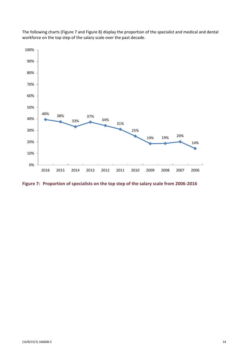

The following charts (Figure 7 and Figure 8) display the proportion of the specialist and medical and dental workforce on the top step of the salary scale over the past decade.

**Figure 7: Proportion of specialists on the top step of the salary scale from 2006-2016**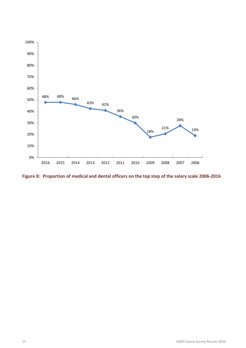

**Figure 8: Proportion of medical and dental officers on the top step of the salary scale 2006-2016**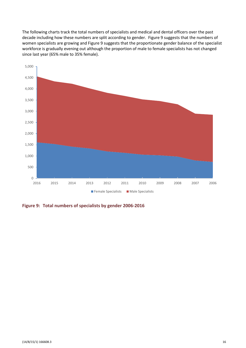The following charts track the total numbers of specialists and medical and dental officers over the past decade including how these numbers are split according to gender. Figure 9 suggests that the numbers of women specialists are growing and Figure 9 suggests that the proportionate gender balance of the specialist workforce is gradually evening out although the proportion of male to female specialists has not changed since last year (65% male to 35% female).



**Figure 9: Total numbers of specialists by gender 2006-2016**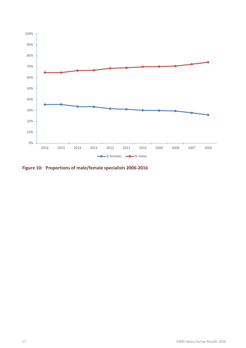

**Figure 10: Proportions of male/female specialists 2006-2016**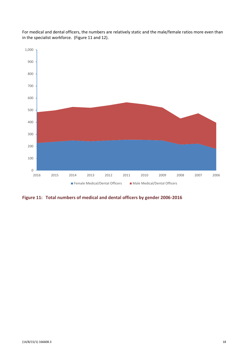

For medical and dental officers, the numbers are relatively static and the male/female ratios more even than in the specialist workforce. (Figure 11 and 12).

**Figure 11: Total numbers of medical and dental officers by gender 2006-2016**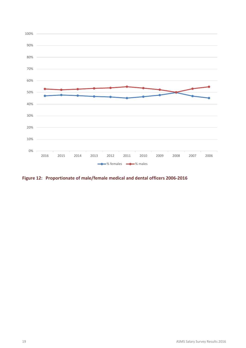

**Figure 12: Proportionate of male/female medical and dental officers 2006-2016**